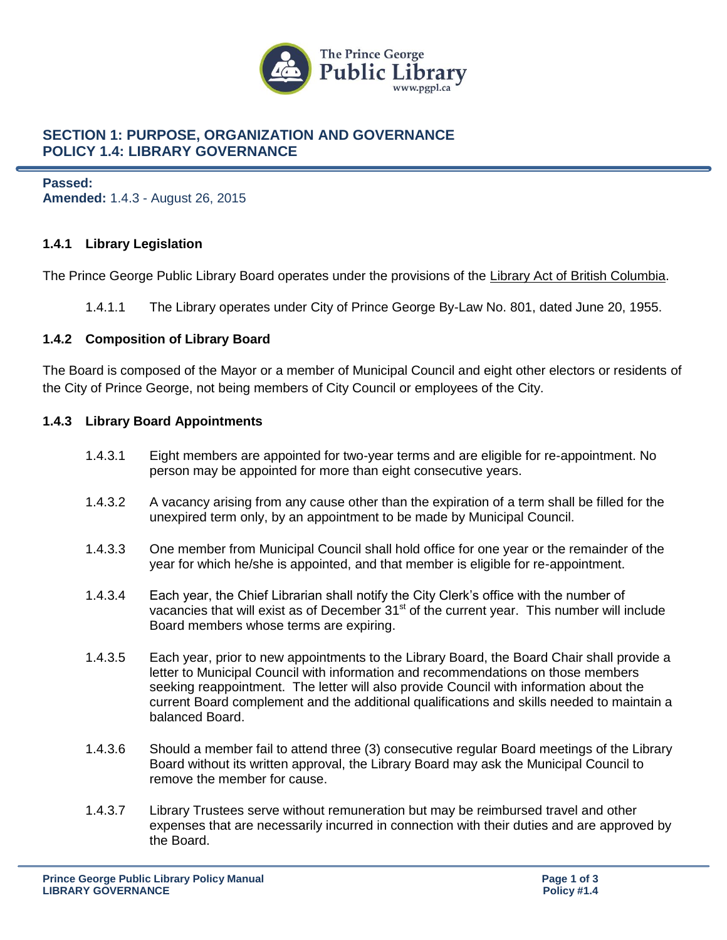

# **SECTION 1: PURPOSE, ORGANIZATION AND GOVERNANCE POLICY 1.4: LIBRARY GOVERNANCE**

**Passed: Amended:** 1.4.3 - August 26, 2015

# **1.4.1 Library Legislation**

The Prince George Public Library Board operates under the provisions of the [Library Act of British Columbia.](http://www.qp.gov.bc.ca/statreg/stat/L/96264_01.htm)

1.4.1.1 The Library operates under City of Prince George By-Law No. 801, dated June 20, 1955.

# **1.4.2 Composition of Library Board**

The Board is composed of the Mayor or a member of Municipal Council and eight other electors or residents of the City of Prince George, not being members of City Council or employees of the City.

# **1.4.3 Library Board Appointments**

- 1.4.3.1 Eight members are appointed for two-year terms and are eligible for re-appointment. No person may be appointed for more than eight consecutive years.
- 1.4.3.2 A vacancy arising from any cause other than the expiration of a term shall be filled for the unexpired term only, by an appointment to be made by Municipal Council.
- 1.4.3.3 One member from Municipal Council shall hold office for one year or the remainder of the year for which he/she is appointed, and that member is eligible for re-appointment.
- 1.4.3.4 Each year, the Chief Librarian shall notify the City Clerk's office with the number of vacancies that will exist as of December  $31<sup>st</sup>$  of the current year. This number will include Board members whose terms are expiring.
- 1.4.3.5 Each year, prior to new appointments to the Library Board, the Board Chair shall provide a letter to Municipal Council with information and recommendations on those members seeking reappointment. The letter will also provide Council with information about the current Board complement and the additional qualifications and skills needed to maintain a balanced Board.
- 1.4.3.6 Should a member fail to attend three (3) consecutive regular Board meetings of the Library Board without its written approval, the Library Board may ask the Municipal Council to remove the member for cause.
- 1.4.3.7 Library Trustees serve without remuneration but may be reimbursed travel and other expenses that are necessarily incurred in connection with their duties and are approved by the Board.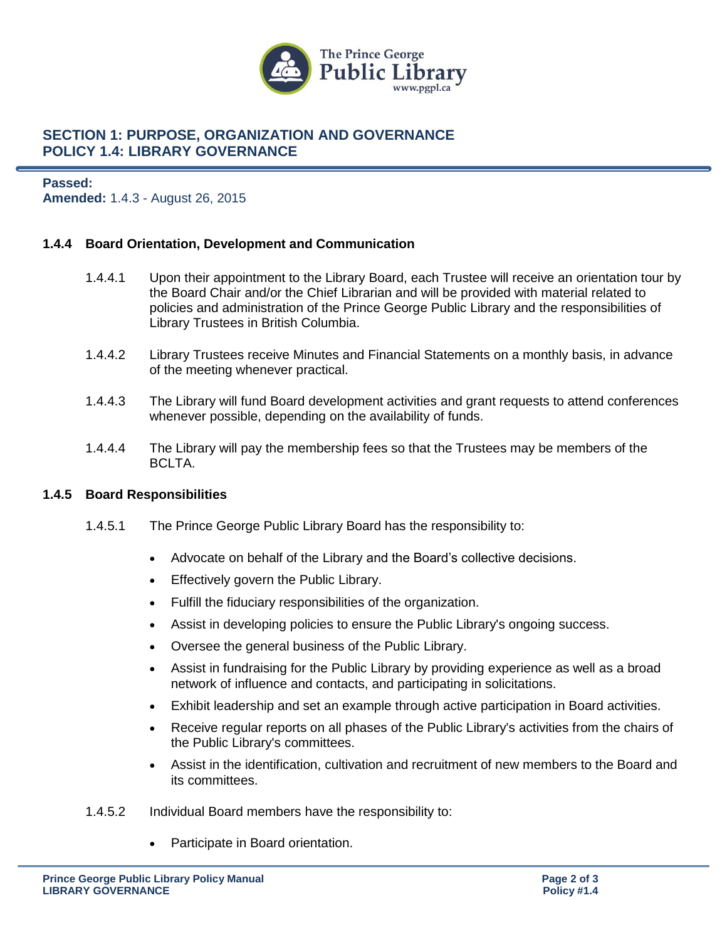

# **SECTION 1: PURPOSE, ORGANIZATION AND GOVERNANCE POLICY 1.4: LIBRARY GOVERNANCE**

# **Passed: Amended:** 1.4.3 - August 26, 2015

# **1.4.4 Board Orientation, Development and Communication**

- 1.4.4.1 Upon their appointment to the Library Board, each Trustee will receive an orientation tour by the Board Chair and/or the Chief Librarian and will be provided with material related to policies and administration of the Prince George Public Library and the responsibilities of Library Trustees in British Columbia.
- 1.4.4.2 Library Trustees receive Minutes and Financial Statements on a monthly basis, in advance of the meeting whenever practical.
- 1.4.4.3 The Library will fund Board development activities and grant requests to attend conferences whenever possible, depending on the availability of funds.
- 1.4.4.4 The Library will pay the membership fees so that the Trustees may be members of the BCLTA.

# **1.4.5 Board Responsibilities**

- 1.4.5.1 The Prince George Public Library Board has the responsibility to:
	- Advocate on behalf of the Library and the Board's collective decisions.
	- **Effectively govern the Public Library.**
	- Fulfill the fiduciary responsibilities of the organization.
	- Assist in developing policies to ensure the Public Library's ongoing success.
	- Oversee the general business of the Public Library.
	- Assist in fundraising for the Public Library by providing experience as well as a broad network of influence and contacts, and participating in solicitations.
	- Exhibit leadership and set an example through active participation in Board activities.
	- Receive regular reports on all phases of the Public Library's activities from the chairs of the Public Library's committees.
	- Assist in the identification, cultivation and recruitment of new members to the Board and its committees.
- 1.4.5.2 Individual Board members have the responsibility to:
	- Participate in Board orientation.